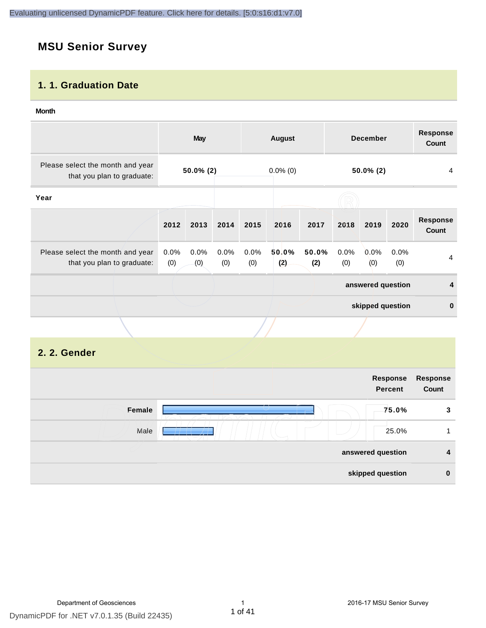## **MSU Senior Survey**

#### **1. 1. Graduation Date**

#### **Month**

|                                                                |             | <b>May</b>   |                |                | <b>August</b> |              |             | <b>December</b>   |             | <b>Response</b><br><b>Count</b> |
|----------------------------------------------------------------|-------------|--------------|----------------|----------------|---------------|--------------|-------------|-------------------|-------------|---------------------------------|
| Please select the month and year<br>that you plan to graduate: |             | $50.0\%$ (2) |                |                | $0.0\%$ (0)   |              |             | $50.0\%$ (2)      |             | 4                               |
| Year                                                           |             |              |                |                |               |              |             |                   |             |                                 |
|                                                                | 2012        | 2013         | 2014           | 2015           | 2016          | 2017         | 2018        | 2019              | 2020        | <b>Response</b><br>Count        |
| Please select the month and year<br>that you plan to graduate: | 0.0%<br>(0) | 0.0%<br>(0)  | $0.0\%$<br>(0) | $0.0\%$<br>(0) | 50.0%<br>(2)  | 50.0%<br>(2) | 0.0%<br>(0) | $0.0\%$<br>(0)    | 0.0%<br>(0) | 4                               |
|                                                                |             |              |                |                |               |              |             | answered question |             | 4                               |
|                                                                |             |              |                |                |               |              |             | skipped question  |             | $\bf{0}$                        |
|                                                                |             |              |                |                |               |              |             |                   |             |                                 |

#### **2. 2. Gender**

| <b>Response</b><br>Count | Response<br><b>Percent</b> |        |
|--------------------------|----------------------------|--------|
| 3                        | 75.0%                      | Female |
|                          | 25.0%                      | Male   |
| $\overline{4}$           | answered question          |        |
| $\mathbf 0$              | skipped question           |        |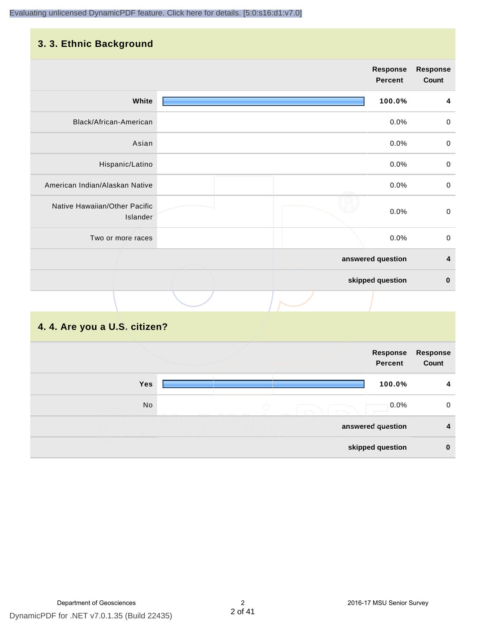## **3. 3. Ethnic Background**

|                                           | <b>Response</b><br>Percent | <b>Response</b><br>Count |
|-------------------------------------------|----------------------------|--------------------------|
| White                                     | 100.0%                     | 4                        |
| Black/African-American                    | 0.0%                       | $\pmb{0}$                |
| Asian                                     | 0.0%                       | $\boldsymbol{0}$         |
| Hispanic/Latino                           | 0.0%                       | $\pmb{0}$                |
| American Indian/Alaskan Native            | 0.0%                       | $\pmb{0}$                |
| Native Hawaiian/Other Pacific<br>Islander | 0.0%                       | $\boldsymbol{0}$         |
| Two or more races                         | 0.0%                       | $\pmb{0}$                |
|                                           | answered question          | $\boldsymbol{4}$         |
|                                           | skipped question           | $\pmb{0}$                |
|                                           |                            |                          |

#### **4. 4. Are you a U.S. citizen?**

|            |            | Response<br><b>Percent</b> | Response<br>Count |
|------------|------------|----------------------------|-------------------|
| <b>Yes</b> |            | 100.0%                     | 4                 |
| No         | $\bigcirc$ | $0.0\%$                    | $\mathbf 0$       |
|            |            | answered question          | 4                 |
|            |            | skipped question           | $\mathbf 0$       |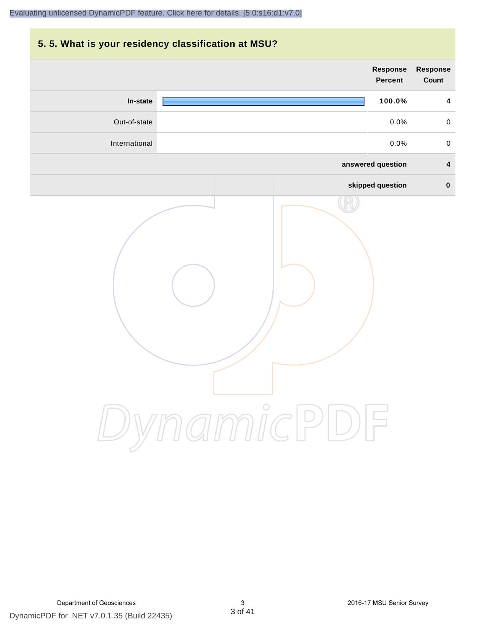## **5. 5. What is your residency classification at MSU?**

|               | Response<br>Percent          | Response<br>Count       |
|---------------|------------------------------|-------------------------|
| In-state      | 100.0%                       | $\boldsymbol{4}$        |
| Out-of-state  | 0.0%                         | $\pmb{0}$               |
| International | 0.0%                         | $\pmb{0}$               |
|               | answered question            | $\overline{\mathbf{4}}$ |
|               | skipped question<br>ynamicPD | $\mathbf 0$             |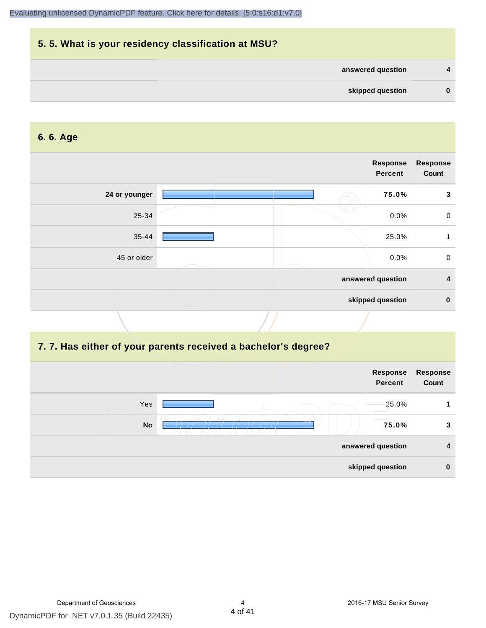## **5. 5. What is your residency classification at MSU? answered question 4 skipped question 0**

#### **6. 6. Age**

|               | <b>Response</b><br><b>Percent</b> | Response<br>Count |
|---------------|-----------------------------------|-------------------|
| 24 or younger | 75.0%                             | 3                 |
| 25-34         | 0.0%                              | $\mathbf 0$       |
| 35-44         | 25.0%                             | 1                 |
| 45 or older   | 0.0%                              | $\mathbf 0$       |
|               | answered question                 | $\boldsymbol{4}$  |
|               | skipped question                  | $\bf{0}$          |
|               |                                   |                   |

#### **7. 7. Has either of your parents received a bachelor's degree?**

| <b>Response</b><br>Count | Response<br><b>Percent</b> |  |           |  |
|--------------------------|----------------------------|--|-----------|--|
|                          | 25.0%                      |  | Yes       |  |
| 3                        | 75.0%                      |  | <b>No</b> |  |
| 4                        | answered question          |  |           |  |
| $\mathbf 0$              | skipped question           |  |           |  |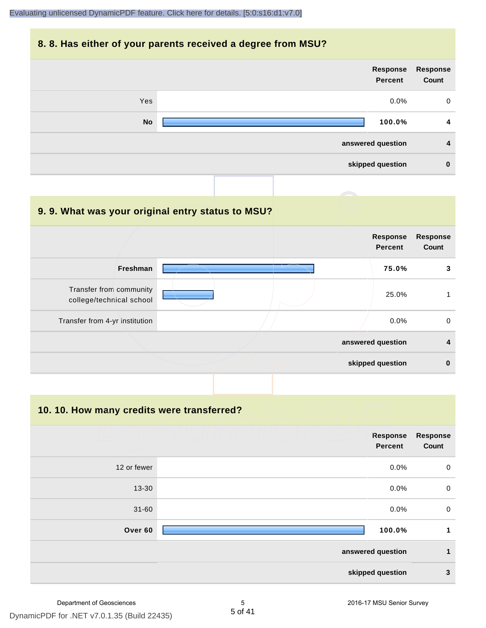#### **8. 8. Has either of your parents received a degree from MSU?**



#### **9. 9. What was your original entry status to MSU?**

|                                                     | <b>Response</b><br><b>Percent</b> | <b>Response</b><br>Count |
|-----------------------------------------------------|-----------------------------------|--------------------------|
| Freshman                                            | 75.0%                             | 3                        |
| Transfer from community<br>college/technical school | 25.0%                             |                          |
| Transfer from 4-yr institution                      | $0.0\%$                           | 0                        |
|                                                     | answered question                 | 4                        |
|                                                     | skipped question                  | $\bf{0}$                 |

**10. 10. How many credits were transferred?**

|             | <b>Response</b><br><b>Percent</b> | <b>Response</b><br>Count |
|-------------|-----------------------------------|--------------------------|
| 12 or fewer | 0.0%                              | $\boldsymbol{0}$         |
| $13 - 30$   | 0.0%                              | $\mathbf 0$              |
| $31 - 60$   | 0.0%                              | $\boldsymbol{0}$         |
| Over 60     | 100.0%                            | 1                        |
|             | answered question                 | 1                        |
|             | skipped question                  | $\mathbf{3}$             |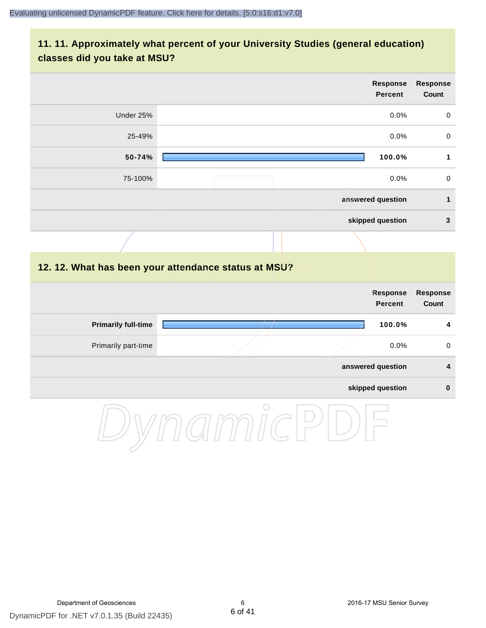#### **11. 11. Approximately what percent of your University Studies (general education) classes did you take at MSU?**

|           | <b>Response</b><br><b>Percent</b>                    | <b>Response</b><br>Count |
|-----------|------------------------------------------------------|--------------------------|
| Under 25% | 0.0%                                                 | $\mathbf 0$              |
| 25-49%    | 0.0%                                                 | $\mathbf 0$              |
| 50-74%    | 100.0%                                               | $\mathbf 1$              |
| 75-100%   | 0.0%                                                 | $\mathbf 0$              |
|           | answered question                                    | 1                        |
|           | skipped question                                     | $\mathbf{3}$             |
|           |                                                      |                          |
|           | 12. 12. What has been your attendance status at MSU? |                          |



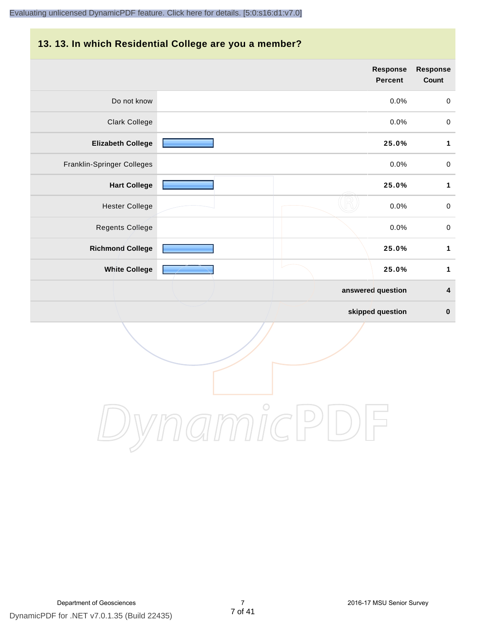#### **13. 13. In which Residential College are you a member?**

|                            | <b>Response</b><br><b>Percent</b> | <b>Response</b><br><b>Count</b> |
|----------------------------|-----------------------------------|---------------------------------|
| Do not know                | 0.0%                              | $\mathbf 0$                     |
| <b>Clark College</b>       | 0.0%                              | $\pmb{0}$                       |
| <b>Elizabeth College</b>   | 25.0%                             | 1                               |
| Franklin-Springer Colleges | 0.0%                              | $\mathbf 0$                     |
| <b>Hart College</b>        | 25.0%                             | $\mathbf{1}$                    |
| <b>Hester College</b>      | 0.0%                              | $\pmb{0}$                       |
| <b>Regents College</b>     | 0.0%                              | $\mathbf 0$                     |
| <b>Richmond College</b>    | 25.0%                             | $\mathbf{1}$                    |
| <b>White College</b>       | 25.0%                             | $\mathbf 1$                     |
|                            | answered question                 | 4                               |
|                            | skipped question                  | $\bf{0}$                        |

DynamicPDF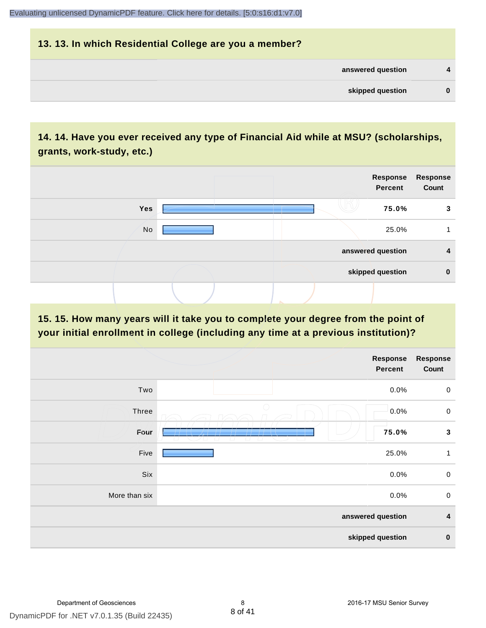## **13. 13. In which Residential College are you a member? answered question 4 skipped question 0**

## **14. 14. Have you ever received any type of Financial Aid while at MSU? (scholarships, grants, work-study, etc.)**



**15. 15. How many years will it take you to complete your degree from the point of your initial enrollment in college (including any time at a previous institution)?**

|               | Response<br><b>Percent</b> | <b>Response</b><br>Count |
|---------------|----------------------------|--------------------------|
| Two           | 0.0%                       | $\,0\,$                  |
| Three         | 0.0%                       | $\mathsf 0$              |
| Four          | 75.0%                      | $\mathbf 3$              |
| Five          | 25.0%                      | $\mathbf{1}$             |
| Six           | 0.0%                       | $\mathsf 0$              |
| More than six | 0.0%                       | $\mathsf 0$              |
|               | answered question          | $\overline{\mathbf{4}}$  |
|               | skipped question           | $\pmb{0}$                |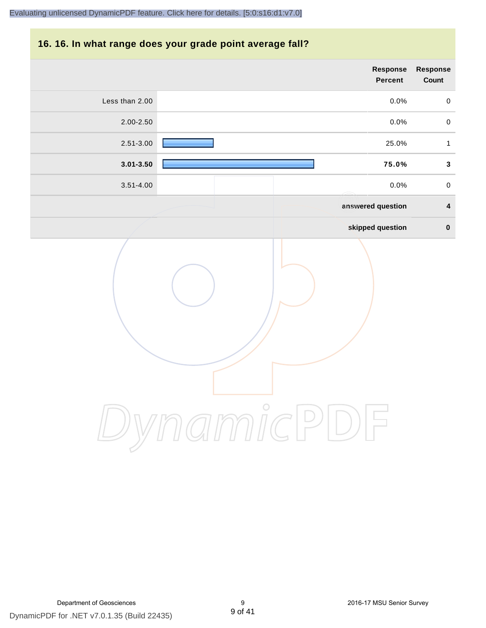## **16. 16. In what range does your grade point average fall?**

|                | Response<br>Percent                   | Response<br>Count |
|----------------|---------------------------------------|-------------------|
| Less than 2.00 | 0.0%                                  | $\pmb{0}$         |
| 2.00-2.50      | 0.0%                                  | $\pmb{0}$         |
| 2.51-3.00      | 25.0%                                 | $\mathbf{1}$      |
| $3.01 - 3.50$  | 75.0%                                 | $\mathbf{3}$      |
| $3.51 - 4.00$  | 0.0%                                  | $\pmb{0}$         |
|                | answered question                     | $\boldsymbol{4}$  |
|                | skipped question                      | $\pmb{0}$         |
|                | mamicP<br>$\mathcal{L}_{\mathcal{A}}$ |                   |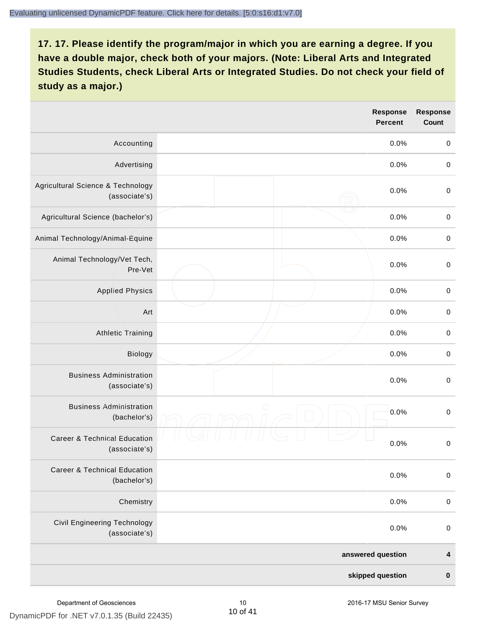|                                                          | <b>Response</b><br><b>Percent</b> | <b>Response</b><br><b>Count</b> |
|----------------------------------------------------------|-----------------------------------|---------------------------------|
| Accounting                                               | 0.0%                              | $\boldsymbol{0}$                |
| Advertising                                              | 0.0%                              | $\boldsymbol{0}$                |
| Agricultural Science & Technology<br>(associate's)       | 0.0%                              | $\boldsymbol{0}$                |
| Agricultural Science (bachelor's)                        | 0.0%                              | $\boldsymbol{0}$                |
| Animal Technology/Animal-Equine                          | 0.0%                              | $\mathbf 0$                     |
| Animal Technology/Vet Tech,<br>Pre-Vet                   | 0.0%                              | $\mathbf 0$                     |
| <b>Applied Physics</b>                                   | 0.0%                              | $\boldsymbol{0}$                |
| Art                                                      | 0.0%                              | $\boldsymbol{0}$                |
| <b>Athletic Training</b>                                 | 0.0%                              | $\boldsymbol{0}$                |
| Biology                                                  | 0.0%                              | $\pmb{0}$                       |
| <b>Business Administration</b><br>(associate's)          | 0.0%                              | $\boldsymbol{0}$                |
| <b>Business Administration</b><br>(bachelor's)           | $\bigcirc$<br>0.0%                | $\boldsymbol{0}$                |
| <b>Career &amp; Technical Education</b><br>(associate's) | 0.0%                              | $\pmb{0}$                       |
| <b>Career &amp; Technical Education</b><br>(bachelor's)  | 0.0%                              | $\mathbf 0$                     |
| Chemistry                                                | 0.0%                              | $\boldsymbol{0}$                |
| Civil Engineering Technology<br>(associate's)            | 0.0%                              | $\boldsymbol{0}$                |
|                                                          | answered question                 | 4                               |
|                                                          | skipped question                  | $\pmb{0}$                       |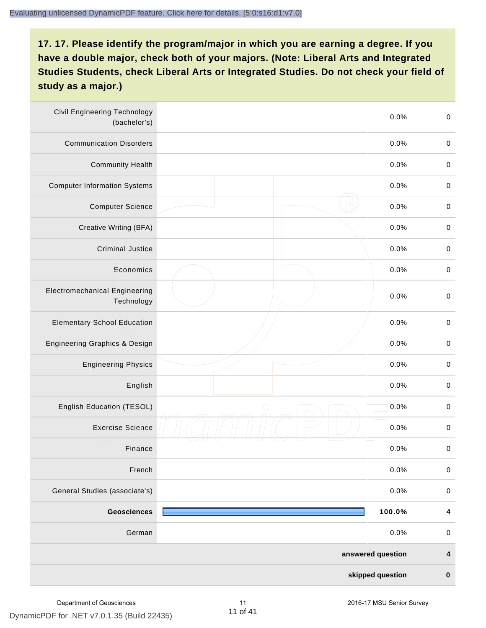| <b>Civil Engineering Technology</b><br>(bachelor's) | 0.0%               | $\mathbf 0$             |
|-----------------------------------------------------|--------------------|-------------------------|
| <b>Communication Disorders</b>                      | 0.0%               | $\mathbf 0$             |
| <b>Community Health</b>                             | 0.0%               | $\pmb{0}$               |
| <b>Computer Information Systems</b>                 | 0.0%               | $\pmb{0}$               |
| <b>Computer Science</b>                             | 0.0%               | $\boldsymbol{0}$        |
| Creative Writing (BFA)                              | 0.0%               | $\boldsymbol{0}$        |
| <b>Criminal Justice</b>                             | 0.0%               | $\boldsymbol{0}$        |
| Economics                                           | 0.0%               | $\boldsymbol{0}$        |
| <b>Electromechanical Engineering</b><br>Technology  | 0.0%               | $\boldsymbol{0}$        |
| <b>Elementary School Education</b>                  | 0.0%               | $\boldsymbol{0}$        |
| Engineering Graphics & Design                       | 0.0%               | $\boldsymbol{0}$        |
| <b>Engineering Physics</b>                          | 0.0%               | $\pmb{0}$               |
| English                                             | 0.0%               | $\pmb{0}$               |
| English Education (TESOL)                           | 0.0%<br>$\bigcirc$ | $\boldsymbol{0}$        |
| <b>Exercise Science</b>                             | 0.0%               | $\boldsymbol{0}$        |
| Finance                                             | 0.0%               | $\pmb{0}$               |
| French                                              | 0.0%               | $\pmb{0}$               |
| General Studies (associate's)                       | 0.0%               | $\pmb{0}$               |
| <b>Geosciences</b>                                  | 100.0%             | $\overline{\mathbf{4}}$ |
| German                                              | 0.0%               | $\pmb{0}$               |
|                                                     | answered question  | 4                       |
|                                                     | skipped question   | $\pmb{0}$               |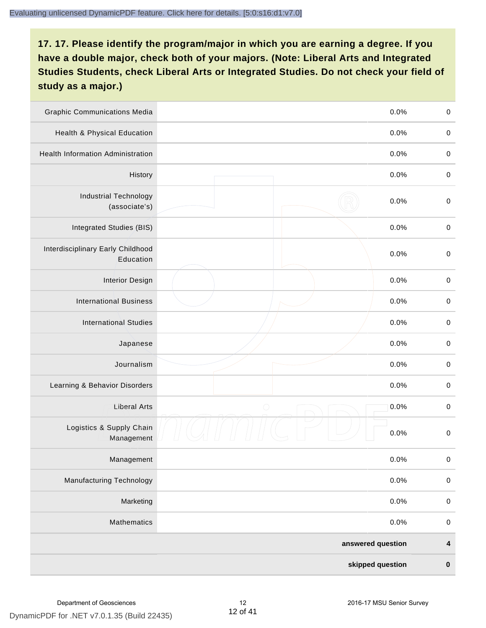| <b>Graphic Communications Media</b>            | 0.0%               | $\boldsymbol{0}$ |
|------------------------------------------------|--------------------|------------------|
| Health & Physical Education                    | 0.0%               | $\pmb{0}$        |
| <b>Health Information Administration</b>       | 0.0%               | $\boldsymbol{0}$ |
| History                                        | 0.0%               | $\pmb{0}$        |
| <b>Industrial Technology</b><br>(associate's)  | 0.0%               | $\boldsymbol{0}$ |
| Integrated Studies (BIS)                       | 0.0%               | $\boldsymbol{0}$ |
| Interdisciplinary Early Childhood<br>Education | 0.0%               | $\boldsymbol{0}$ |
| <b>Interior Design</b>                         | 0.0%               | $\pmb{0}$        |
| <b>International Business</b>                  | 0.0%               | $\boldsymbol{0}$ |
| <b>International Studies</b>                   | 0.0%               | $\mathbf 0$      |
| Japanese                                       | 0.0%               | $\boldsymbol{0}$ |
| Journalism                                     | 0.0%               | $\boldsymbol{0}$ |
| Learning & Behavior Disorders                  | 0.0%               | $\boldsymbol{0}$ |
| <b>Liberal Arts</b>                            | $\bigcirc$<br>0.0% | $\pmb{0}$        |
| Logistics & Supply Chain<br>Management         | 0.0%               | $\boldsymbol{0}$ |
| Management                                     | 0.0%               | 0                |
| <b>Manufacturing Technology</b>                | 0.0%               | $\mathbf 0$      |
| Marketing                                      | 0.0%               | $\boldsymbol{0}$ |
| Mathematics                                    | 0.0%               | $\pmb{0}$        |
|                                                | answered question  | 4                |
|                                                | skipped question   | $\pmb{0}$        |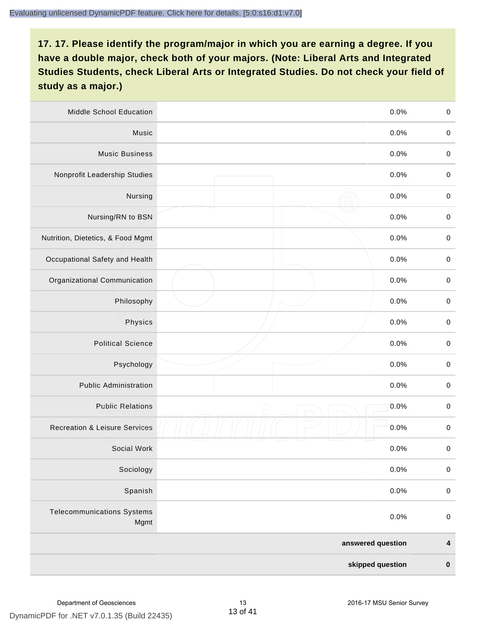| Middle School Education                   | 0.0%               | $\boldsymbol{0}$        |
|-------------------------------------------|--------------------|-------------------------|
| Music                                     | 0.0%               | $\pmb{0}$               |
| <b>Music Business</b>                     | 0.0%               | $\pmb{0}$               |
| Nonprofit Leadership Studies              | 0.0%               | $\pmb{0}$               |
| Nursing                                   | 0.0%               | $\boldsymbol{0}$        |
| Nursing/RN to BSN                         | 0.0%               | $\boldsymbol{0}$        |
| Nutrition, Dietetics, & Food Mgmt         | 0.0%               | $\boldsymbol{0}$        |
| Occupational Safety and Health            | 0.0%               | $\boldsymbol{0}$        |
| Organizational Communication              | 0.0%               | $\pmb{0}$               |
| Philosophy                                | 0.0%               | $\pmb{0}$               |
| Physics                                   | 0.0%               | $\boldsymbol{0}$        |
| <b>Political Science</b>                  | 0.0%               | $\boldsymbol{0}$        |
| Psychology                                | 0.0%               | $\boldsymbol{0}$        |
| <b>Public Administration</b>              | 0.0%               | $\boldsymbol{0}$        |
| <b>Public Relations</b>                   | $\bigcirc$<br>0.0% | $\boldsymbol{0}$        |
| <b>Recreation &amp; Leisure Services</b>  | 0.0%               | $\pmb{0}$               |
| Social Work                               | 0.0%               | $\pmb{0}$               |
| Sociology                                 | 0.0%               | $\boldsymbol{0}$        |
| Spanish                                   | 0.0%               | $\mathbf 0$             |
| <b>Telecommunications Systems</b><br>Mgmt | 0.0%               | $\boldsymbol{0}$        |
|                                           | answered question  | $\overline{\mathbf{4}}$ |
|                                           | skipped question   | $\pmb{0}$               |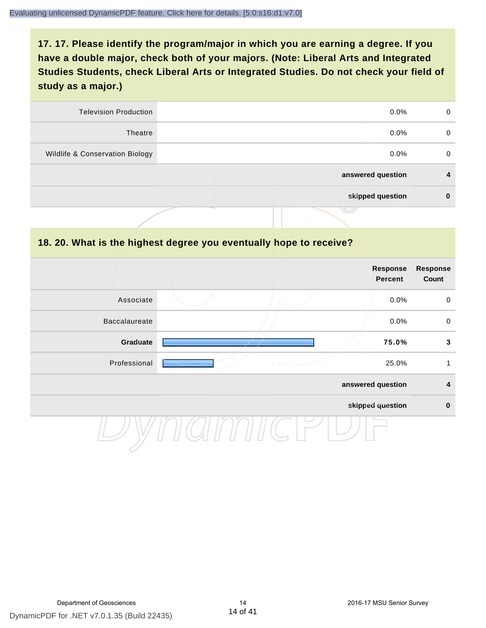| <b>Television Production</b>    | $0.0\%$           | $\Omega$ |
|---------------------------------|-------------------|----------|
| Theatre                         | $0.0\%$           | 0        |
| Wildlife & Conservation Biology | $0.0\%$           | 0        |
|                                 | answered question | 4        |
|                                 | skipped question  | 0        |
|                                 | رىپ               |          |

#### **18. 20. What is the highest degree you eventually hope to receive?**

|               |  | <b>Response</b><br><b>Percent</b> | Response<br>Count |
|---------------|--|-----------------------------------|-------------------|
| Associate     |  | 0.0%                              | $\mathbf 0$       |
| Baccalaureate |  | 0.0%                              | $\mathsf 0$       |
| Graduate      |  | 75.0%                             | $\mathbf{3}$      |
| Professional  |  | 25.0%                             | 1                 |
|               |  | answered question                 | $\boldsymbol{4}$  |
|               |  | skipped question                  | $\pmb{0}$         |
|               |  |                                   |                   |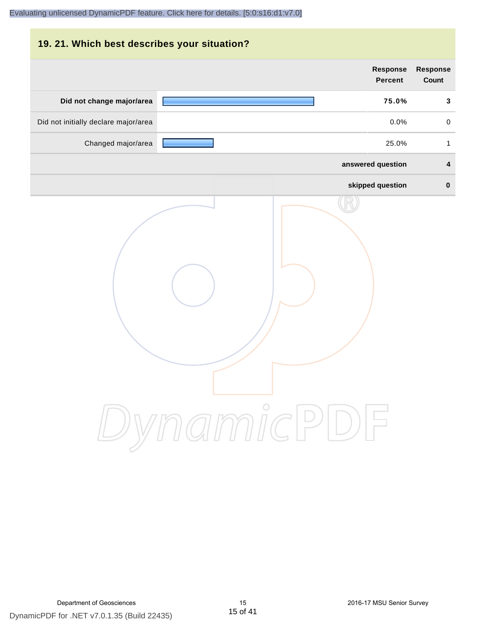## **19. 21. Which best describes your situation?**

|                                      | <b>Response</b><br><b>Percent</b> | <b>Response</b><br>Count |
|--------------------------------------|-----------------------------------|--------------------------|
| Did not change major/area            | 75.0%                             | $\mathbf{3}$             |
| Did not initially declare major/area | 0.0%                              | $\mathbf 0$              |
| Changed major/area                   | 25.0%                             | $\mathbf{1}$             |
|                                      | answered question                 | $\overline{\mathbf{4}}$  |
|                                      | skipped question                  | $\pmb{0}$                |
|                                      | ynamicPD                          |                          |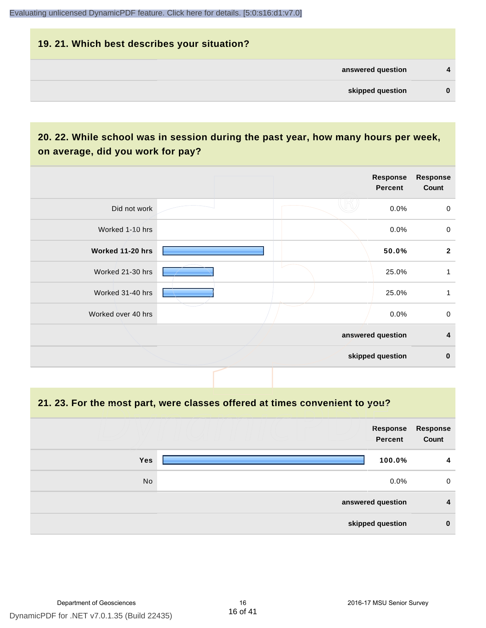#### **19. 21. Which best describes your situation?**

| 4 | answered question |  |
|---|-------------------|--|
| 0 | skipped question  |  |
|   |                   |  |

## **20. 22. While school was in session during the past year, how many hours per week, on average, did you work for pay?**

|                    | Response<br><b>Percent</b> | <b>Response</b><br>Count |
|--------------------|----------------------------|--------------------------|
| Did not work       | 0.0%                       | $\mathbf 0$              |
| Worked 1-10 hrs    | 0.0%                       | $\pmb{0}$                |
| Worked 11-20 hrs   | 50.0%                      | $\overline{2}$           |
| Worked 21-30 hrs   | 25.0%                      | 1                        |
| Worked 31-40 hrs   | 25.0%                      | 1                        |
| Worked over 40 hrs | $0.0\%$                    | $\pmb{0}$                |
|                    | answered question          | $\overline{\mathbf{4}}$  |
|                    | skipped question           | $\mathbf 0$              |

#### **21. 23. For the most part, were classes offered at times convenient to you?**

|            | Response<br>Percent | Response<br>Count |
|------------|---------------------|-------------------|
| <b>Yes</b> | 100.0%              | 4                 |
| No         | $0.0\%$             | 0                 |
|            | answered question   | 4                 |
|            | skipped question    | $\bf{0}$          |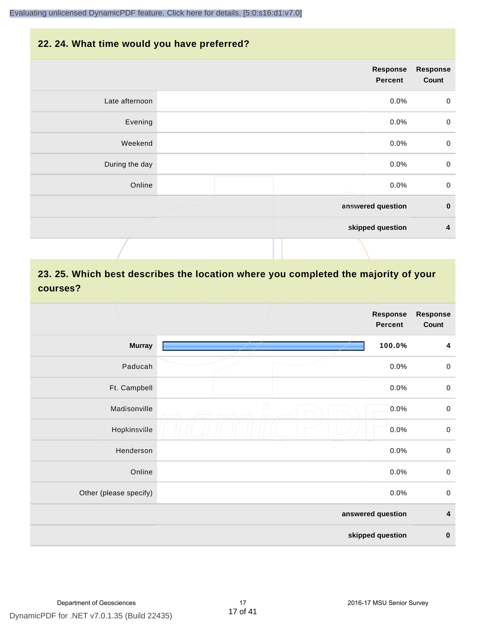#### **22. 24. What time would you have preferred?**

|                | <b>Response</b><br>Percent | <b>Response</b><br>Count |
|----------------|----------------------------|--------------------------|
| Late afternoon | $0.0\%$                    | $\mathbf 0$              |
| Evening        | 0.0%                       | $\mathbf 0$              |
| Weekend        | 0.0%                       | $\boldsymbol{0}$         |
| During the day | 0.0%                       | $\mathbf 0$              |
| Online         | 0.0%<br>Æ                  | $\boldsymbol{0}$         |
|                | answered question          | $\pmb{0}$                |
|                | skipped question           | $\boldsymbol{4}$         |
|                |                            |                          |

## **23. 25. Which best describes the location where you completed the majority of your courses?**

|                        | <b>Response</b><br><b>Percent</b> | <b>Response</b><br>Count |
|------------------------|-----------------------------------|--------------------------|
| <b>Murray</b>          | 100.0%                            | 4                        |
| Paducah                | 0.0%                              | $\boldsymbol{0}$         |
| Ft. Campbell           | 0.0%                              | $\,0\,$                  |
| Madisonville           | $\bigcirc$<br>0.0%                | $\,0\,$                  |
| Hopkinsville           | 0.0%                              | $\boldsymbol{0}$         |
| Henderson              | 0.0%                              | $\,0\,$                  |
| Online                 | 0.0%                              | $\,0\,$                  |
| Other (please specify) | 0.0%                              | $\boldsymbol{0}$         |
|                        | answered question                 | $\pmb{4}$                |
|                        | skipped question                  | $\pmb{0}$                |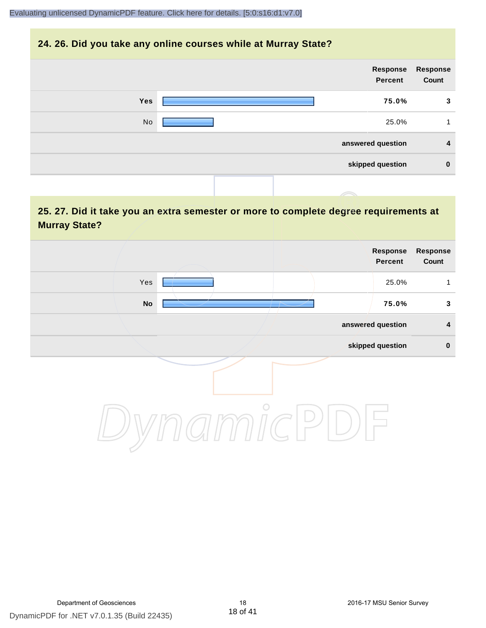#### **24. 26. Did you take any online courses while at Murray State?**

|            |  |  | Response<br>Percent | Response<br>Count |
|------------|--|--|---------------------|-------------------|
| <b>Yes</b> |  |  | 75.0%               | 3                 |
| No         |  |  | 25.0%               | 1                 |
|            |  |  | answered question   | $\overline{4}$    |
|            |  |  | skipped question    | $\mathbf 0$       |
|            |  |  |                     |                   |

## **25. 27. Did it take you an extra semester or more to complete degree requirements at Murray State?**

|                            |            | Response<br>Percent | Response<br>Count       |
|----------------------------|------------|---------------------|-------------------------|
| Yes                        |            | 25.0%               | 1                       |
| $\mathop{\sf No}\nolimits$ |            | 75.0%               | $\mathbf{3}$            |
|                            |            | answered question   | $\overline{\mathbf{4}}$ |
|                            |            | skipped question    | $\pmb{0}$               |
|                            | $\bigcirc$ |                     |                         |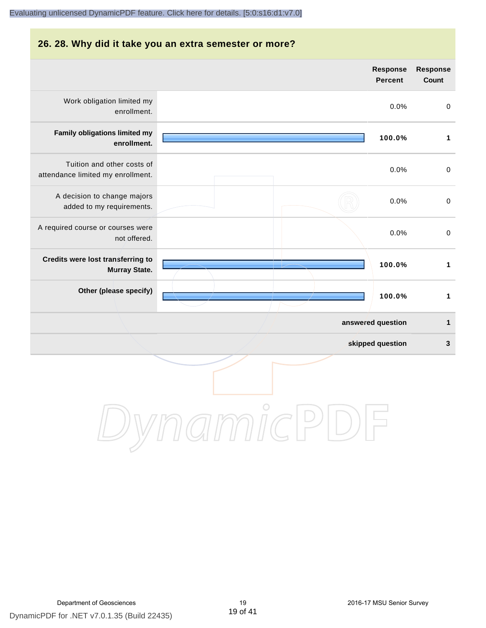#### **26. 28. Why did it take you an extra semester or more?**

|                                                                 | <b>Response</b><br><b>Percent</b> | Response<br>Count |
|-----------------------------------------------------------------|-----------------------------------|-------------------|
| Work obligation limited my<br>enrollment.                       | 0.0%                              | $\mathsf 0$       |
| Family obligations limited my<br>enrollment.                    | 100.0%                            | 1                 |
| Tuition and other costs of<br>attendance limited my enrollment. | 0.0%                              | $\mathbf 0$       |
| A decision to change majors<br>added to my requirements.        | 0.0%                              | $\mathbf 0$       |
| A required course or courses were<br>not offered.               | 0.0%                              | $\mathbf 0$       |
| <b>Credits were lost transferring to</b><br>Murray State.       | 100.0%                            | $\mathbf{1}$      |
| Other (please specify)                                          | 100.0%                            | $\mathbf 1$       |
|                                                                 | answered question                 | $\mathbf{1}$      |
|                                                                 | skipped question                  | $\mathbf{3}$      |
|                                                                 |                                   |                   |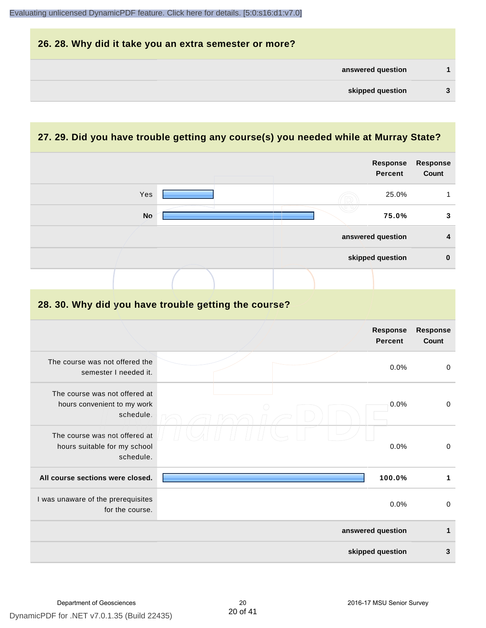| 26. 28. Why did it take you an extra semester or more? |  |
|--------------------------------------------------------|--|
| answered question                                      |  |
| skipped question                                       |  |

## **27. 29. Did you have trouble getting any course(s) you needed while at Murray State?**

|                                                                            |  |  | <b>Response</b><br><b>Percent</b> | Response<br>Count        |
|----------------------------------------------------------------------------|--|--|-----------------------------------|--------------------------|
| Yes                                                                        |  |  | 25.0%                             | $\mathbf{1}$             |
| <b>No</b>                                                                  |  |  | 75.0%                             | 3                        |
|                                                                            |  |  | answered question                 | 4                        |
|                                                                            |  |  | skipped question                  | $\mathbf 0$              |
|                                                                            |  |  |                                   |                          |
| 28. 30. Why did you have trouble getting the course?                       |  |  |                                   |                          |
|                                                                            |  |  | <b>Response</b><br><b>Percent</b> | <b>Response</b><br>Count |
| The course was not offered the<br>semester I needed it.                    |  |  | 0.0%                              | $\mathbf 0$              |
| The course was not offered at<br>hours convenient to my work<br>schedule.  |  |  | 0.0%                              | $\pmb{0}$                |
| The course was not offered at<br>hours suitable for my school<br>schedule. |  |  | 0.0%                              | $\mathbf 0$              |
| All course sections were closed.                                           |  |  | 100.0%                            | 1                        |
| I was unaware of the prerequisites<br>for the course.                      |  |  | 0.0%                              | $\mathsf 0$              |
|                                                                            |  |  | answered question                 | $\mathbf{1}$             |
|                                                                            |  |  | skipped question                  | $\mathbf{3}$             |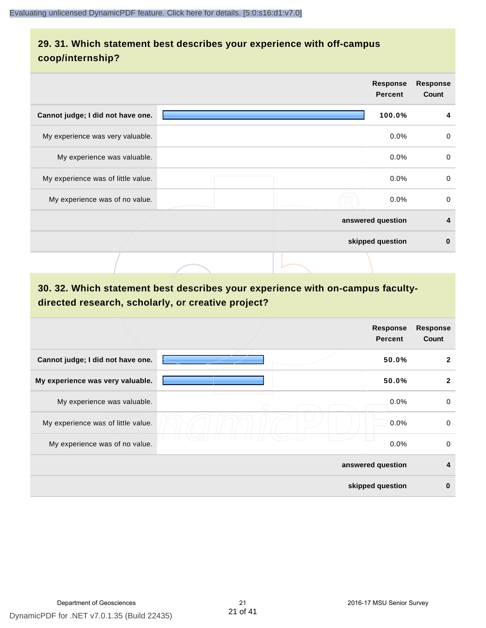### **29. 31. Which statement best describes your experience with off-campus coop/internship?**

|                                    | <b>Response</b><br><b>Percent</b> | <b>Response</b><br>Count |
|------------------------------------|-----------------------------------|--------------------------|
| Cannot judge; I did not have one.  | 100.0%                            | 4                        |
| My experience was very valuable.   | $0.0\%$                           | $\mathbf 0$              |
| My experience was valuable.        | $0.0\%$                           | 0                        |
| My experience was of little value. | $0.0\%$                           | $\mathbf 0$              |
| My experience was of no value.     | $0.0\%$                           | 0                        |
|                                    | answered question                 | $\overline{\mathbf{4}}$  |
|                                    | skipped question                  | $\bf{0}$                 |
|                                    |                                   |                          |

## **30. 32. Which statement best describes your experience with on-campus facultydirected research, scholarly, or creative project?**

|                                    | <b>Response</b><br><b>Percent</b> | <b>Response</b><br>Count |
|------------------------------------|-----------------------------------|--------------------------|
| Cannot judge; I did not have one.  | 50.0%                             | $\mathbf{2}$             |
| My experience was very valuable.   | 50.0%                             | $\mathbf{2}$             |
| My experience was valuable.        | 0.0%                              | 0                        |
| My experience was of little value. | 0.0%                              | $\mathbf 0$              |
| My experience was of no value.     | 0.0%                              | 0                        |
|                                    | answered question                 | 4                        |
|                                    | skipped question                  | $\bf{0}$                 |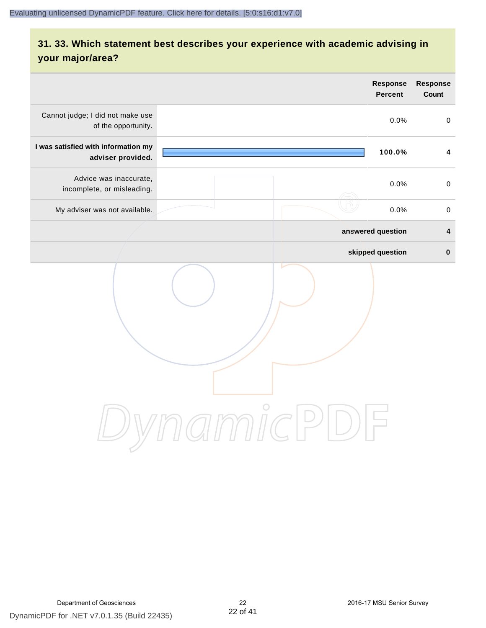## **31. 33. Which statement best describes your experience with academic advising in your major/area?**

| <b>Response</b><br><b>Percent</b>                                  | <b>Response</b><br>Count |
|--------------------------------------------------------------------|--------------------------|
| 0.0%                                                               | $\mathbf 0$              |
| 100.0%                                                             | 4                        |
| 0.0%                                                               | $\mathbf 0$              |
| 0.0%                                                               | $\mathbf 0$              |
| answered question                                                  | 4                        |
| skipped question                                                   | $\pmb{0}$                |
| $\bigcirc$<br>amnic Pil<br>$\begin{pmatrix} 1 \\ -1 \end{pmatrix}$ |                          |
|                                                                    |                          |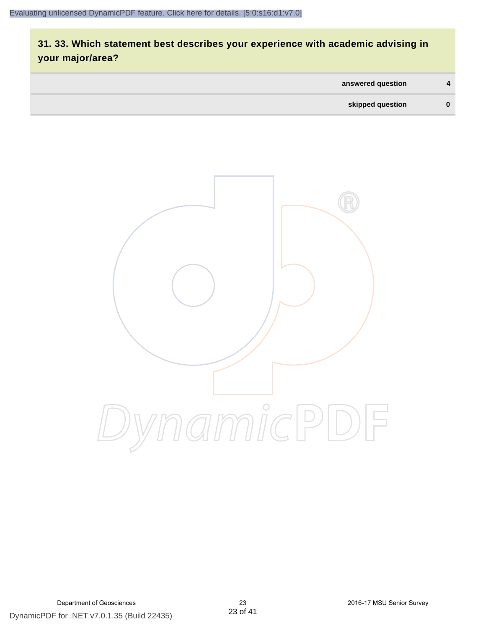## **31. 33. Which statement best describes your experience with academic advising in your major/area?**

| answered question | $\overline{4}$ |
|-------------------|----------------|
| skipped question  | $\bf{0}$       |

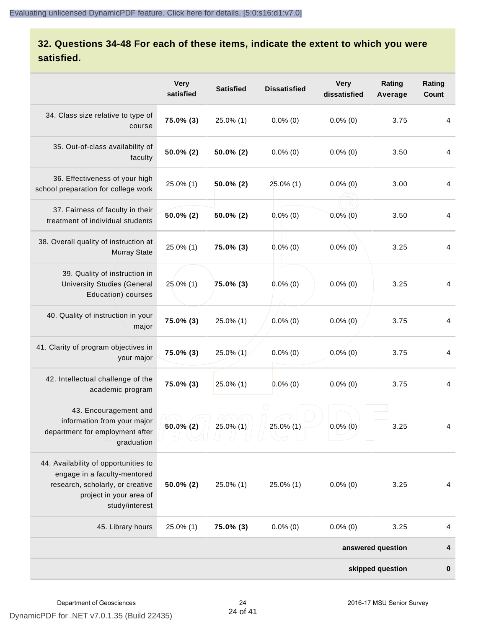## **32. Questions 34-48 For each of these items, indicate the extent to which you were satisfied.**

|                                                                                                                                                       | <b>Very</b><br>satisfied | <b>Satisfied</b> | <b>Dissatisfied</b> | <b>Very</b><br>dissatisfied | Rating<br>Average | Rating<br><b>Count</b> |
|-------------------------------------------------------------------------------------------------------------------------------------------------------|--------------------------|------------------|---------------------|-----------------------------|-------------------|------------------------|
| 34. Class size relative to type of<br>course                                                                                                          | 75.0% (3)                | 25.0% (1)        | $0.0\%$ (0)         | $0.0\%$ (0)                 | 3.75              | 4                      |
| 35. Out-of-class availability of<br>faculty                                                                                                           | 50.0% (2)                | $50.0\%$ (2)     | $0.0\%$ (0)         | $0.0\%$ (0)                 | 3.50              | 4                      |
| 36. Effectiveness of your high<br>school preparation for college work                                                                                 | 25.0% (1)                | $50.0\%$ (2)     | 25.0% (1)           | $0.0\%$ (0)                 | 3.00              | 4                      |
| 37. Fairness of faculty in their<br>treatment of individual students                                                                                  | 50.0% (2)                | $50.0\%$ (2)     | $0.0\%$ (0)         | $0.0\%$ (0)                 | 3.50              | 4                      |
| 38. Overall quality of instruction at<br><b>Murray State</b>                                                                                          | 25.0% (1)                | 75.0% (3)        | $0.0\%$ (0)         | $0.0\%$ (0)                 | 3.25              | $\overline{4}$         |
| 39. Quality of instruction in<br><b>University Studies (General</b><br>Education) courses                                                             | 25.0% (1)                | 75.0% (3)        | $0.0\%$ (0)         | $0.0\%$ (0)                 | 3.25              | 4                      |
| 40. Quality of instruction in your<br>major                                                                                                           | 75.0% (3)                | 25.0% (1)        | $0.0\%$ (0)         | $0.0\%$ (0)                 | 3.75              | $\overline{4}$         |
| 41. Clarity of program objectives in<br>your major                                                                                                    | 75.0% (3)                | $25.0\%$ (1)     | $0.0\%$ (0)         | $0.0\%$ (0)                 | 3.75              | 4                      |
| 42. Intellectual challenge of the<br>academic program                                                                                                 | 75.0% (3)                | 25.0% (1)        | $0.0\%$ (0)         | $0.0\%$ (0)                 | 3.75              | 4                      |
| 43. Encouragement and<br>information from your major<br>department for employment after<br>graduation                                                 | $50.0\%(2)$              | $25.0\%$ (1)     | $25.0\%$ (1)        | $0.0\%$ (0)                 | 3.25              | 4                      |
| 44. Availability of opportunities to<br>engage in a faculty-mentored<br>research, scholarly, or creative<br>project in your area of<br>study/interest | 50.0% (2)                | 25.0% (1)        | 25.0% (1)           | $0.0\%$ (0)                 | 3.25              | 4                      |
| 45. Library hours                                                                                                                                     | 25.0% (1)                | 75.0% (3)        | $0.0\%$ (0)         | $0.0\%$ (0)                 | 3.25              | 4                      |
| answered question                                                                                                                                     |                          |                  |                     |                             |                   | 4                      |
| skipped question                                                                                                                                      |                          |                  |                     |                             |                   |                        |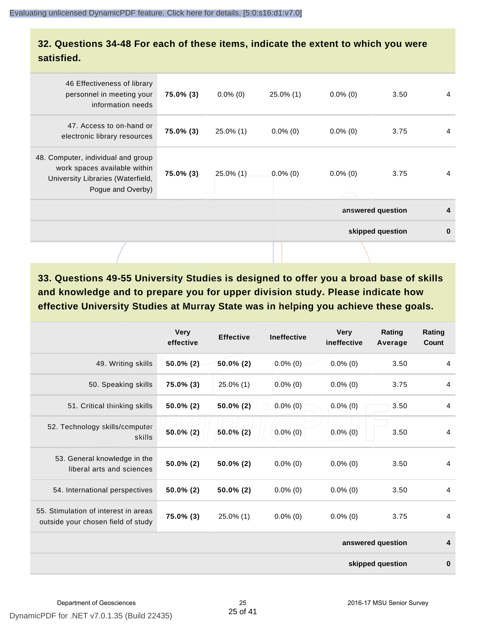#### **32. Questions 34-48 For each of these items, indicate the extent to which you were satisfied.**

| 46 Effectiveness of library<br>personnel in meeting your<br>information needs                                                | 75.0% (3) | $0.0\%$ (0)  | $25.0\%$ (1) | $0.0\%$ (0) | 3.50              | 4        |
|------------------------------------------------------------------------------------------------------------------------------|-----------|--------------|--------------|-------------|-------------------|----------|
| 47. Access to on-hand or<br>electronic library resources                                                                     | 75.0% (3) | $25.0\%$ (1) | $0.0\%$ (0)  | $0.0\%$ (0) | 3.75              | 4        |
| 48. Computer, individual and group<br>work spaces available within<br>University Libraries (Waterfield,<br>Pogue and Overby) | 75.0% (3) | $25.0\%$ (1) | $0.0\%$ (0)  | $0.0\%$ (0) | 3.75              | 4        |
|                                                                                                                              |           |              |              |             | answered question | 4        |
|                                                                                                                              |           |              |              |             | skipped question  | $\bf{0}$ |
|                                                                                                                              |           |              |              |             |                   |          |

**33. Questions 49-55 University Studies is designed to offer you a broad base of skills and knowledge and to prepare you for upper division study. Please indicate how effective University Studies at Murray State was in helping you achieve these goals.**

|                                                                            | <b>Very</b><br>effective | <b>Effective</b> | <b>Ineffective</b> | <b>Very</b><br>ineffective | Rating<br>Average | Rating<br><b>Count</b> |
|----------------------------------------------------------------------------|--------------------------|------------------|--------------------|----------------------------|-------------------|------------------------|
| 49. Writing skills                                                         | $50.0\%$ (2)             | $50.0\%$ (2)     | $0.0\%$ (0)        | $0.0\%$ (0)                | 3.50              | $\overline{4}$         |
| 50. Speaking skills                                                        | 75.0% (3)                | $25.0\%$ (1)     | $0.0\%$ (0)        | $0.0\%$ (0)                | 3.75              | 4                      |
| 51. Critical thinking skills                                               | $50.0\%$ (2)             | $50.0\%$ (2)     | $0.0\%$ (0)        | $0.0\%(0)$                 | 3.50              | $\overline{4}$         |
| 52. Technology skills/computer<br>skills                                   | 50.0% (2)                | $50.0\%$ (2)     | $0.0\%$ (0)        | $0.0\%$ (0)                | 3.50              | 4                      |
| 53. General knowledge in the<br>liberal arts and sciences                  | $50.0\%$ (2)             | $50.0\%$ (2)     | $0.0\%$ (0)        | $0.0\%$ (0)                | 3.50              | 4                      |
| 54. International perspectives                                             | 50.0% (2)                | $50.0\%$ (2)     | $0.0\%$ (0)        | $0.0\%$ (0)                | 3.50              | 4                      |
| 55. Stimulation of interest in areas<br>outside your chosen field of study | 75.0% (3)                | 25.0% (1)        | $0.0\%$ (0)        | $0.0\%$ (0)                | 3.75              | 4                      |
|                                                                            |                          |                  |                    |                            | answered question | 4                      |
|                                                                            |                          |                  |                    |                            | skipped question  | $\bf{0}$               |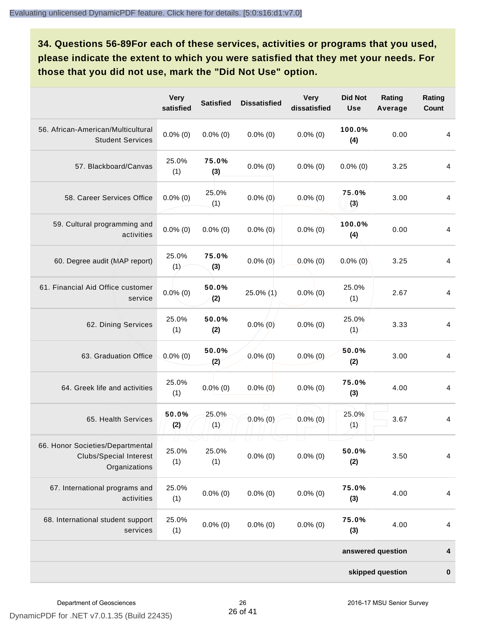**34. Questions 56-89For each of these services, activities or programs that you used, please indicate the extent to which you were satisfied that they met your needs. For those that you did not use, mark the "Did Not Use" option.**

|                                                                                    | <b>Very</b><br>satisfied | <b>Satisfied</b>                   | <b>Dissatisfied</b>         | <b>Very</b><br>dissatisfied | <b>Did Not</b><br><b>Use</b> | Rating<br>Average | Rating<br>Count         |
|------------------------------------------------------------------------------------|--------------------------|------------------------------------|-----------------------------|-----------------------------|------------------------------|-------------------|-------------------------|
| 56. African-American/Multicultural<br><b>Student Services</b>                      | $0.0\%$ (0)              | $0.0\%$ (0)                        | $0.0\%$ (0)                 | $0.0\%$ (0)                 | 100.0%<br>(4)                | 0.00              | $\overline{4}$          |
| 57. Blackboard/Canvas                                                              | 25.0%<br>(1)             | 75.0%<br>(3)                       | $0.0\%$ (0)                 | $0.0\%$ (0)                 | $0.0\%$ (0)                  | 3.25              | 4                       |
| 58. Career Services Office                                                         | $0.0\%$ (0)              | 25.0%<br>(1)                       | $0.0\%$ (0)                 | $0.0\%$ (0)                 | 75.0%<br>(3)                 | 3.00              | $\overline{4}$          |
| 59. Cultural programming and<br>activities                                         | $0.0\%$ (0)              | $0.0\%$ (0)                        | $0.0\%$ (0)                 | $0.0\%$ (0)                 | 100.0%<br>$\binom{4}{ }$     | 0.00              | $\overline{\mathbf{4}}$ |
| 60. Degree audit (MAP report)                                                      | 25.0%<br>(1)             | 75.0%<br>(3)                       | $0.0\%$ (0)                 | $0.0\%$ (0)                 | $0.0\%$ (0)                  | 3.25              | 4                       |
| 61. Financial Aid Office customer<br>service                                       | $0.0\%$ (0)              | 50.0%<br>(2)                       | 25.0% (1)                   | $0.0\%$ (0)                 | 25.0%<br>(1)                 | 2.67              | $\overline{4}$          |
| 62. Dining Services                                                                | 25.0%<br>(1)             | 50.0%<br>(2)                       | $0.0\%$ (0)                 | $0.0\%$ (0)                 | 25.0%<br>(1)                 | 3.33              | $\overline{\mathbf{4}}$ |
| 63. Graduation Office                                                              | $0.0\%$ (0)              | 50.0%<br>(2)                       | $0.0\%$ (0)                 | $0.0\%$ (0)                 | 50.0%<br>(2)                 | 3.00              | $\overline{\mathbf{4}}$ |
| 64. Greek life and activities                                                      | 25.0%<br>(1)             | $0.0\%$ (0)                        | $0.0\%$ (0)                 | $0.0\%$ (0)                 | 75.0%<br>(3)                 | 4.00              | $\overline{\mathbf{4}}$ |
| 65. Health Services                                                                | 50.0%<br>(2)             | 25.0%<br>(1)                       | $0.0\%$ (0)                 | $0.0\%$ (0)                 | 25.0%<br>(1)                 | 3.67              | $\overline{4}$          |
| 66. Honor Societies/Departmental<br><b>Clubs/Special Interest</b><br>Organizations | $\sqcup$<br>25.0%<br>(1) | $\Box$<br>$\sqcup$<br>25.0%<br>(1) | $\Box$<br>U.<br>$0.0\%$ (0) | $0.0\%$ (0)                 | 50.0%<br>(2)                 | 3.50              | $\overline{\mathbf{4}}$ |
| 67. International programs and<br>activities                                       | 25.0%<br>(1)             | $0.0\%$ (0)                        | $0.0\%$ (0)                 | $0.0\%$ (0)                 | 75.0%<br>(3)                 | 4.00              | $\overline{4}$          |
| 68. International student support<br>services                                      | 25.0%<br>(1)             | $0.0\%$ (0)                        | $0.0\%$ (0)                 | $0.0\%$ (0)                 | 75.0%<br>(3)                 | 4.00              | $\overline{\mathbf{4}}$ |
|                                                                                    |                          |                                    |                             |                             |                              | answered question | 4                       |
|                                                                                    |                          |                                    |                             |                             |                              | skipped question  | $\pmb{0}$               |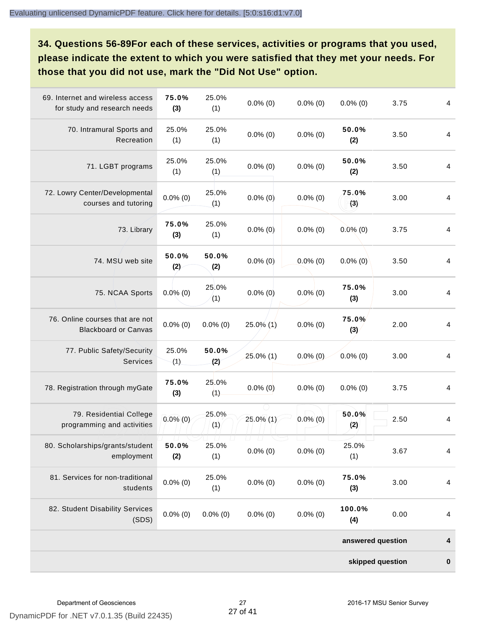**34. Questions 56-89For each of these services, activities or programs that you used, please indicate the extent to which you were satisfied that they met your needs. For those that you did not use, mark the "Did Not Use" option.**

| 69. Internet and wireless access<br>for study and research needs | 75.0%<br>(3) | 25.0%<br>(1) | $0.0\%$ (0)                 | $0.0\%$ (0) | $0.0\%$ (0)       | 3.75 | 4                       |
|------------------------------------------------------------------|--------------|--------------|-----------------------------|-------------|-------------------|------|-------------------------|
| 70. Intramural Sports and<br>Recreation                          | 25.0%<br>(1) | 25.0%<br>(1) | $0.0\%$ (0)                 | $0.0\%$ (0) | 50.0%<br>(2)      | 3.50 | $\overline{4}$          |
| 71. LGBT programs                                                | 25.0%<br>(1) | 25.0%<br>(1) | $0.0\%$ (0)                 | $0.0\%$ (0) | 50.0%<br>(2)      | 3.50 | 4                       |
| 72. Lowry Center/Developmental<br>courses and tutoring           | $0.0\%$ (0)  | 25.0%<br>(1) | $0.0\%$ (0)                 | $0.0\%$ (0) | 75.0%<br>(3)      | 3.00 | 4                       |
| 73. Library                                                      | 75.0%<br>(3) | 25.0%<br>(1) | $0.0\%$ (0)                 | $0.0\%$ (0) | $0.0\%$ (0)       | 3.75 | $\overline{4}$          |
| 74. MSU web site                                                 | 50.0%<br>(2) | 50.0%<br>(2) | $0.0\%$ (0)                 | $0.0\%$ (0) | $0.0\%$ (0)       | 3.50 | 4                       |
| 75. NCAA Sports                                                  | $0.0\%$ (0)  | 25.0%<br>(1) | $0.0\%$ (0)                 | $0.0\%$ (0) | 75.0%<br>(3)      | 3.00 | 4                       |
| 76. Online courses that are not<br><b>Blackboard or Canvas</b>   | $0.0\%$ (0)  | $0.0\%$ (0)  | $25.0\%$ (1)                | $0.0\%$ (0) | 75.0%<br>(3)      | 2.00 | $\overline{4}$          |
| 77. Public Safety/Security<br>Services                           | 25.0%<br>(1) | 50.0%<br>(2) | 25.0% (1)                   | $0.0\%$ (0) | $0.0\%$ (0)       | 3.00 | 4                       |
| 78. Registration through myGate                                  | 75.0%<br>(3) | 25.0%<br>(1) | $0.0\%$ (0)                 | $0.0\%$ (0) | $0.0\%$ (0)       | 3.75 | $\overline{a}$          |
| 79. Residential College<br>programming and activities            | $0.0\%$ (0)  | 25.0%<br>(1) | 25.0% (1)                   | $0.0\%$ (0) | 50.0%<br>(2)      | 2.50 | $\overline{4}$          |
| 80. Scholarships/grants/student<br>employment                    | 50.0%<br>(2) | 25.0%<br>(1) | U.<br>$\Box$<br>$0.0\%$ (0) | $0.0\%$ (0) | 25.0%<br>(1)      | 3.67 | $\overline{\mathbf{4}}$ |
| 81. Services for non-traditional<br>students                     | $0.0\%$ (0)  | 25.0%<br>(1) | $0.0\%$ (0)                 | $0.0\%$ (0) | 75.0%<br>(3)      | 3.00 | $\overline{\mathbf{4}}$ |
| 82. Student Disability Services<br>(SDS)                         | $0.0\%$ (0)  | $0.0\%$ (0)  | $0.0\%$ (0)                 | $0.0\%$ (0) | 100.0%<br>(4)     | 0.00 | 4                       |
|                                                                  |              |              |                             |             | answered question |      | 4                       |
|                                                                  |              |              |                             |             | skipped question  |      | $\boldsymbol{0}$        |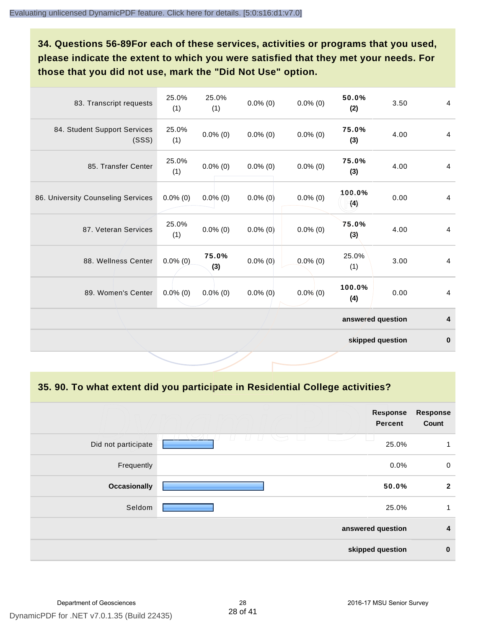**34. Questions 56-89For each of these services, activities or programs that you used, please indicate the extent to which you were satisfied that they met your needs. For those that you did not use, mark the "Did Not Use" option.**

| 83. Transcript requests               | 25.0%<br>(1) | 25.0%<br>(1) | $0.0\%$ (0) | $0.0\%$ (0) | 50.0%<br>(2)      | 3.50 | $\overline{4}$ |
|---------------------------------------|--------------|--------------|-------------|-------------|-------------------|------|----------------|
| 84. Student Support Services<br>(SSS) | 25.0%<br>(1) | $0.0\%$ (0)  | $0.0\%$ (0) | $0.0\%$ (0) | 75.0%<br>(3)      | 4.00 | $\overline{4}$ |
| 85. Transfer Center                   | 25.0%<br>(1) | $0.0\%$ (0)  | $0.0\%$ (0) | $0.0\%$ (0) | 75.0%<br>(3)      | 4.00 | 4              |
| 86. University Counseling Services    | $0.0\%$ (0)  | $0.0\%$ (0)  | $0.0\%$ (0) | $0.0\%$ (0) | 100.0%<br>(4)     | 0.00 | 4              |
| 87. Veteran Services                  | 25.0%<br>(1) | $0.0\%$ (0)  | $0.0\%$ (0) | $0.0\%$ (0) | 75.0%<br>(3)      | 4.00 | 4              |
| 88. Wellness Center                   | $0.0\%$ (0)  | 75.0%<br>(3) | $0.0\%$ (0) | $0.0\%$ (0) | 25.0%<br>(1)      | 3.00 | $\overline{4}$ |
| 89. Women's Center                    | $0.0\%$ (0)  | $0.0\%$ (0)  | $0.0\%$ (0) | $0.0\%$ (0) | 100.0%<br>(4)     | 0.00 | 4              |
|                                       |              |              |             |             | answered question |      | 4              |
|                                       |              |              |             |             | skipped question  |      | $\pmb{0}$      |

**35. 90. To what extent did you participate in Residential College activities?**

|                     | <b>Response</b><br><b>Percent</b> | <b>Response</b><br>Count |
|---------------------|-----------------------------------|--------------------------|
| Did not participate | 25.0%                             | 1                        |
| Frequently          | $0.0\%$                           | $\mathbf 0$              |
| <b>Occasionally</b> | 50.0%                             | $\overline{2}$           |
| Seldom              | 25.0%                             | 1                        |
|                     | answered question                 | $\overline{4}$           |
|                     | skipped question                  | $\mathbf 0$              |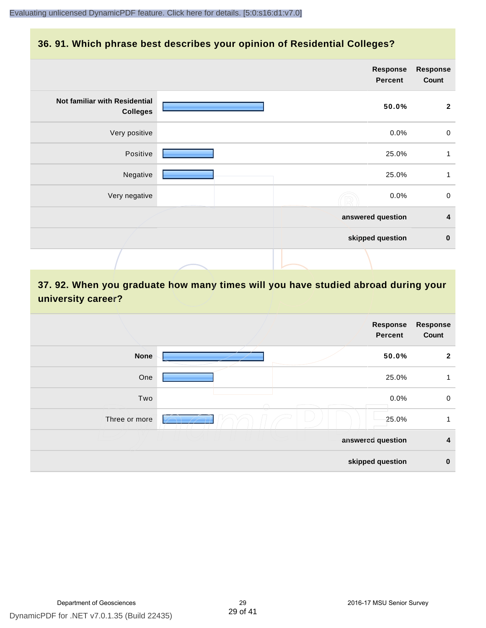#### **36. 91. Which phrase best describes your opinion of Residential Colleges?**

|                                                  | <b>Response</b><br><b>Percent</b> | <b>Response</b><br>Count |
|--------------------------------------------------|-----------------------------------|--------------------------|
| Not familiar with Residential<br><b>Colleges</b> | 50.0%                             | $\overline{2}$           |
| Very positive                                    | $0.0\%$                           | $\mathbf 0$              |
| Positive                                         | 25.0%                             | 1                        |
| Negative                                         | 25.0%                             | 1                        |
| Very negative                                    | 0.0%                              | $\mathbf 0$              |
|                                                  | answered question                 | 4                        |
|                                                  | skipped question                  | $\bf{0}$                 |
|                                                  |                                   |                          |

## **37. 92. When you graduate how many times will you have studied abroad during your university career?**

| <b>Response</b><br>Count | Response<br><b>Percent</b> |               |
|--------------------------|----------------------------|---------------|
| $\mathbf{2}$             | 50.0%                      | <b>None</b>   |
| 1                        | 25.0%                      | One           |
| $\boldsymbol{0}$         | 0.0%                       | Two           |
| 1                        | 25.0%                      | Three or more |
| 4                        | answered question          |               |
| $\mathbf 0$              | skipped question           |               |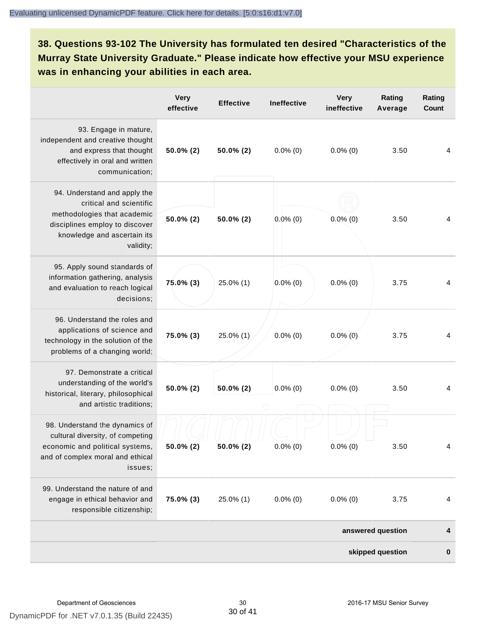**38. Questions 93-102 The University has formulated ten desired "Characteristics of the Murray State University Graduate." Please indicate how effective your MSU experience was in enhancing your abilities in each area.**

|                                                                                                                                                                      | <b>Very</b><br>effective | <b>Effective</b> | <b>Ineffective</b> | <b>Very</b><br>ineffective | Rating<br>Average | Rating<br>Count |
|----------------------------------------------------------------------------------------------------------------------------------------------------------------------|--------------------------|------------------|--------------------|----------------------------|-------------------|-----------------|
| 93. Engage in mature,<br>independent and creative thought<br>and express that thought<br>effectively in oral and written<br>communication;                           | 50.0% (2)                | $50.0\%$ (2)     | $0.0\%$ (0)        | $0.0\%$ (0)                | 3.50              | 4               |
| 94. Understand and apply the<br>critical and scientific<br>methodologies that academic<br>disciplines employ to discover<br>knowledge and ascertain its<br>validity; | $50.0\%$ (2)             | $50.0\%$ (2)     | $0.0\%$ (0)        | $0.0\%$ (0)                | 3.50              | 4               |
| 95. Apply sound standards of<br>information gathering, analysis<br>and evaluation to reach logical<br>decisions;                                                     | 75.0% (3)                | 25.0% (1)        | $0.0\%$ (0)        | $0.0\%$ (0)                | 3.75              | 4               |
| 96. Understand the roles and<br>applications of science and<br>technology in the solution of the<br>problems of a changing world;                                    | 75.0% (3)                | 25.0% (1)        | $0.0\%$ (0)        | $0.0\%$ (0)                | 3.75              | 4               |
| 97. Demonstrate a critical<br>understanding of the world's<br>historical, literary, philosophical<br>and artistic traditions;                                        | 50.0% (2)                | $50.0\%$ (2)     | $0.0\%$ (0)        | $0.0\%$ (0)                | 3.50              | 4               |
| 98. Understand the dynamics of<br>cultural diversity, of competing<br>economic and political systems,<br>and of complex moral and ethical<br>issues;                 | 50.0% (2)                | 50.0% (2)        | $0.0\%$ (0)        | $0.0\%$ (0)                | 3.50              | 4               |
| 99. Understand the nature of and<br>engage in ethical behavior and<br>responsible citizenship;                                                                       | 75.0% (3)                | 25.0% (1)        | $0.0\%$ (0)        | $0.0\%$ (0)                | 3.75              | $\overline{4}$  |
|                                                                                                                                                                      |                          |                  |                    |                            | answered question | 4               |
|                                                                                                                                                                      |                          |                  |                    |                            | skipped question  | $\bf{0}$        |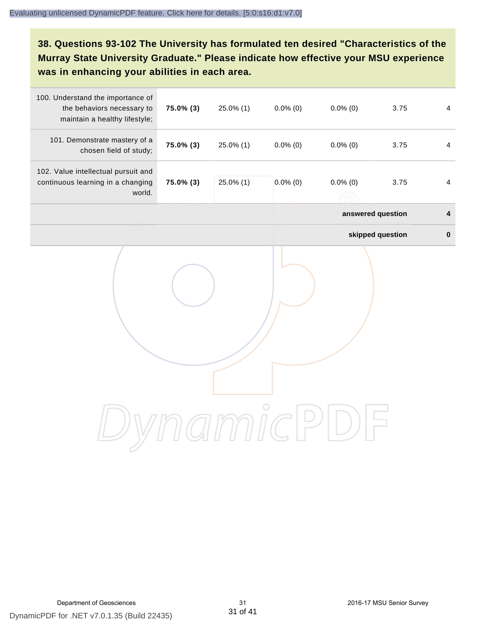**38. Questions 93-102 The University has formulated ten desired "Characteristics of the Murray State University Graduate." Please indicate how effective your MSU experience was in enhancing your abilities in each area.**

| 100. Understand the importance of<br>the behaviors necessary to<br>maintain a healthy lifestyle; | 75.0% (3) | 25.0% (1) | $0.0\%$ (0) | $0.0\%$ (0)           | 3.75              | $\overline{4}$ |
|--------------------------------------------------------------------------------------------------|-----------|-----------|-------------|-----------------------|-------------------|----------------|
| 101. Demonstrate mastery of a<br>chosen field of study;                                          | 75.0% (3) | 25.0% (1) | $0.0\%$ (0) | $0.0\%$ (0)           | 3.75              | $\overline{4}$ |
| 102. Value intellectual pursuit and<br>continuous learning in a changing<br>world.               | 75.0% (3) | 25.0% (1) | $0.0\%$ (0) | $0.0\%$ (0)<br>$\Box$ | 3.75              | $\overline{4}$ |
|                                                                                                  |           |           |             |                       | answered question | 4              |
|                                                                                                  |           |           |             |                       | skipped question  | $\pmb{0}$      |
|                                                                                                  |           |           |             |                       |                   |                |
|                                                                                                  |           |           |             |                       |                   |                |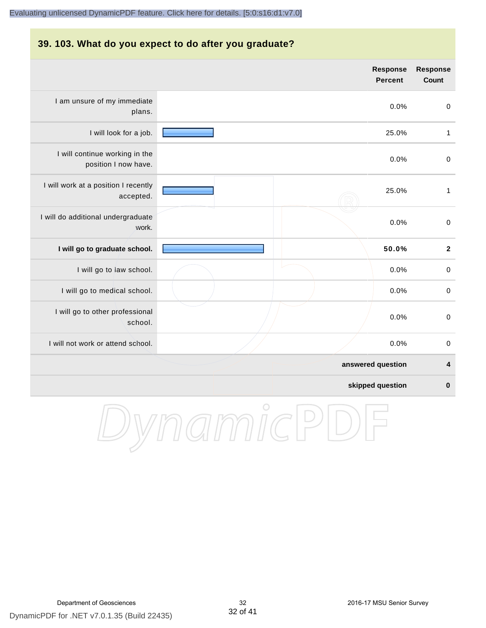#### **39. 103. What do you expect to do after you graduate?**

|                                                        | <b>Response</b><br><b>Percent</b> | Response<br>Count       |
|--------------------------------------------------------|-----------------------------------|-------------------------|
| I am unsure of my immediate<br>plans.                  | 0.0%                              | $\pmb{0}$               |
| I will look for a job.                                 | 25.0%                             | $\mathbf{1}$            |
| I will continue working in the<br>position I now have. | 0.0%                              | $\pmb{0}$               |
| I will work at a position I recently<br>accepted.      | 25.0%                             | $\mathbf{1}$            |
| I will do additional undergraduate<br>work.            | 0.0%                              | $\mathbf 0$             |
| I will go to graduate school.                          | 50.0%                             | $\overline{\mathbf{2}}$ |
| I will go to law school.                               | 0.0%                              | $\pmb{0}$               |
| I will go to medical school.                           | 0.0%                              | $\pmb{0}$               |
| I will go to other professional<br>school.             | 0.0%                              | $\pmb{0}$               |
| I will not work or attend school.                      | 0.0%                              | $\pmb{0}$               |
|                                                        | answered question                 | 4                       |
|                                                        | skipped question                  | $\pmb{0}$               |

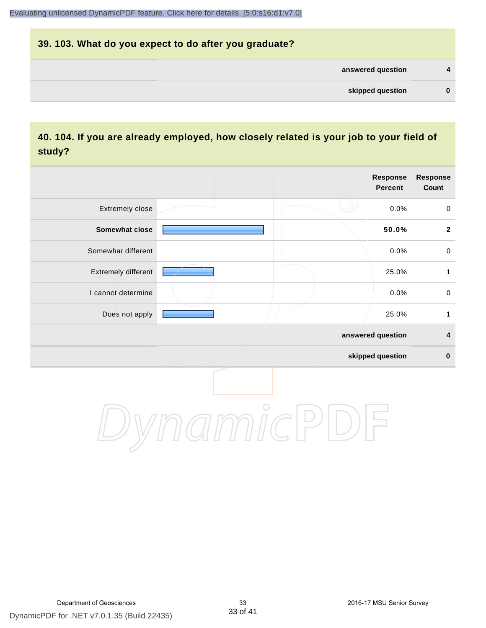# **39. 103. What do you expect to do after you graduate? answered question 4 skipped question 0**

### **40. 104. If you are already employed, how closely related is your job to your field of study?**

|                     |            | <b>Response</b><br><b>Percent</b> | Response<br>Count   |
|---------------------|------------|-----------------------------------|---------------------|
| Extremely close     |            | 0.0%                              | $\mathsf{O}\xspace$ |
| Somewhat close      |            | 50.0%                             | $\mathbf{2}$        |
| Somewhat different  |            | 0.0%                              | $\mathsf{O}\xspace$ |
| Extremely different |            | 25.0%                             | $\mathbf{1}$        |
| I cannot determine  |            | 0.0%                              | $\mathsf{O}\xspace$ |
| Does not apply      |            | 25.0%                             | $\mathbf{1}$        |
|                     |            | answered question                 | $\overline{4}$      |
|                     |            | skipped question                  | $\pmb{0}$           |
|                     | $\bigcirc$ |                                   |                     |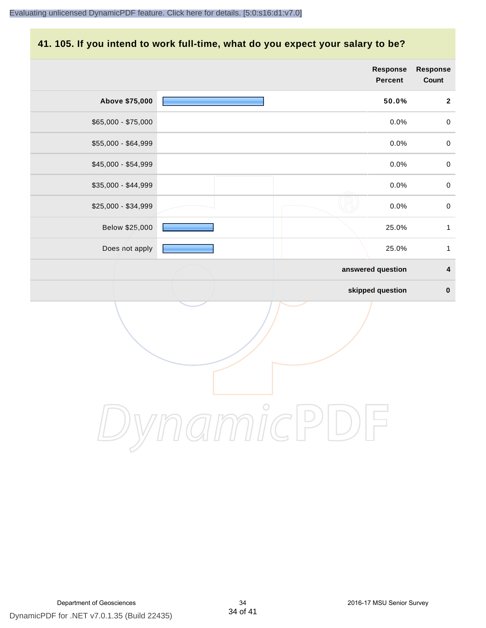## **41. 105. If you intend to work full-time, what do you expect your salary to be?**

| Count               |
|---------------------|
| $\mathbf{2}$        |
| $\mathsf{O}\xspace$ |
| $\mathsf{O}\xspace$ |
| $\pmb{0}$           |
| $\pmb{0}$           |
| $\pmb{0}$           |
| $\mathbf{1}$        |
| $\mathbf{1}$        |
| $\pmb{4}$           |
| $\pmb{0}$           |
|                     |
|                     |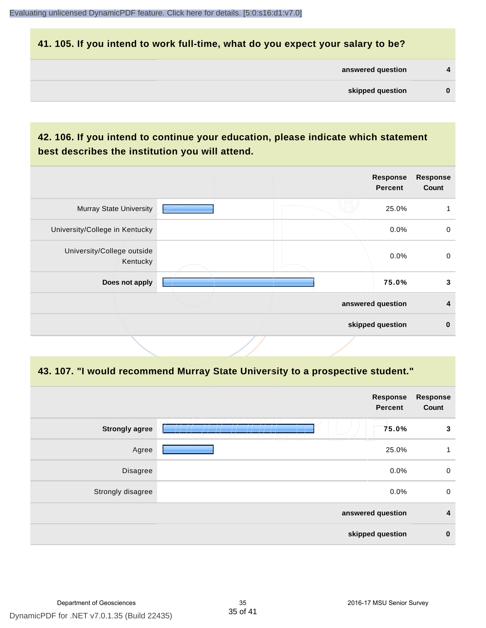#### **41. 105. If you intend to work full-time, what do you expect your salary to be?**

| answered question |  |
|-------------------|--|
| skipped question  |  |

## **42. 106. If you intend to continue your education, please indicate which statement best describes the institution you will attend.**

|                                        |  | <b>Response</b><br><b>Percent</b> | <b>Response</b><br>Count |
|----------------------------------------|--|-----------------------------------|--------------------------|
| <b>Murray State University</b>         |  | 25.0%                             |                          |
| University/College in Kentucky         |  | 0.0%                              | 0                        |
| University/College outside<br>Kentucky |  | 0.0%                              | $\mathbf 0$              |
| Does not apply                         |  | 75.0%                             | 3                        |
|                                        |  | answered question                 | 4                        |
|                                        |  | skipped question                  | $\mathbf 0$              |
|                                        |  |                                   |                          |

#### **43. 107. "I would recommend Murray State University to a prospective student."**

| <b>Response</b><br>Count | <b>Response</b><br><b>Percent</b> |                       |
|--------------------------|-----------------------------------|-----------------------|
| 3                        | 75.0%                             | <b>Strongly agree</b> |
| 1                        | 25.0%                             | Agree                 |
| $\mathbf 0$              | 0.0%                              | Disagree              |
| $\pmb{0}$                | 0.0%                              | Strongly disagree     |
| $\overline{4}$           | answered question                 |                       |
| $\bf{0}$                 | skipped question                  |                       |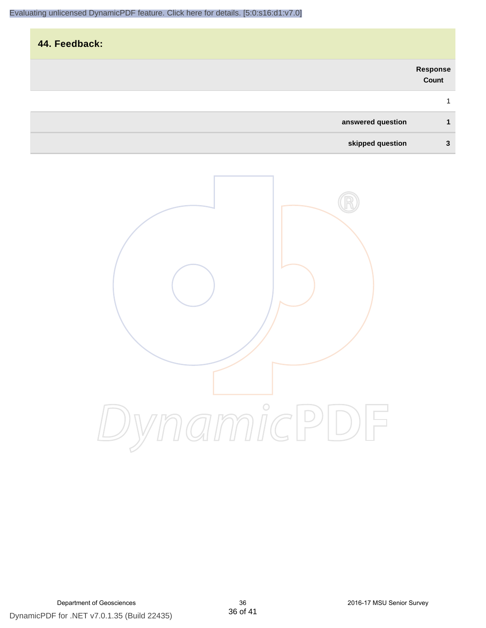| 44. Feedback:     |                   |
|-------------------|-------------------|
|                   | Response<br>Count |
|                   |                   |
| answered question | 1                 |
| skipped question  | 3                 |
|                   |                   |

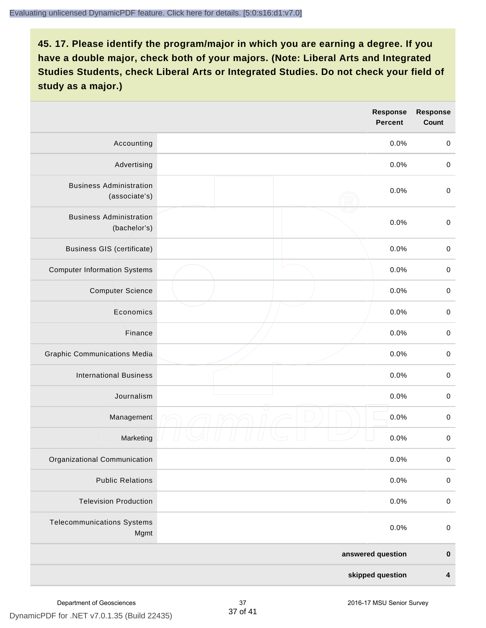|                                                 | Response<br><b>Percent</b> | <b>Response</b><br>Count |
|-------------------------------------------------|----------------------------|--------------------------|
| Accounting                                      | 0.0%                       | $\pmb{0}$                |
| Advertising                                     | 0.0%                       | $\mathbf 0$              |
| <b>Business Administration</b><br>(associate's) | 0.0%                       | $\mathbf 0$              |
| <b>Business Administration</b><br>(bachelor's)  | 0.0%                       | $\pmb{0}$                |
| <b>Business GIS (certificate)</b>               | 0.0%                       | $\mathbf 0$              |
| <b>Computer Information Systems</b>             | 0.0%                       | $\pmb{0}$                |
| <b>Computer Science</b>                         | 0.0%                       | $\pmb{0}$                |
| Economics                                       | 0.0%                       | $\mathbf 0$              |
| Finance                                         | 0.0%                       | $\pmb{0}$                |
| <b>Graphic Communications Media</b>             | 0.0%                       | $\mathbf 0$              |
| <b>International Business</b>                   | 0.0%                       | $\pmb{0}$                |
| Journalism                                      | 0.0%                       | $\pmb{0}$                |
| Management                                      | 0.0%                       | $\,0\,$                  |
| Marketing                                       | 0.0%                       | $\mathbf 0$              |
| Organizational Communication                    | 0.0%                       | $\pmb{0}$                |
| <b>Public Relations</b>                         | 0.0%                       | $\pmb{0}$                |
| <b>Television Production</b>                    | 0.0%                       | $\pmb{0}$                |
| <b>Telecommunications Systems</b><br>Mgmt       | 0.0%                       | $\pmb{0}$                |
|                                                 | answered question          | $\pmb{0}$                |
|                                                 | skipped question           | $\overline{\mathbf{4}}$  |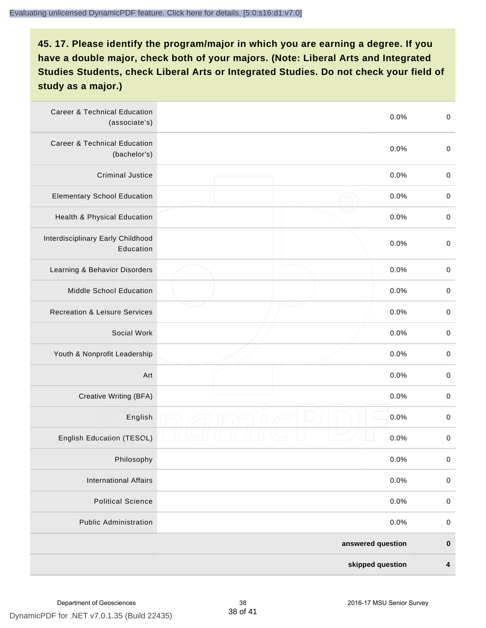| <b>Career &amp; Technical Education</b><br>(associate's) | 0.0%              | $\pmb{0}$        |
|----------------------------------------------------------|-------------------|------------------|
| <b>Career &amp; Technical Education</b><br>(bachelor's)  | 0.0%              | $\boldsymbol{0}$ |
| <b>Criminal Justice</b>                                  | 0.0%              | $\pmb{0}$        |
| <b>Elementary School Education</b>                       | 0.0%              | $\,0\,$          |
| <b>Health &amp; Physical Education</b>                   | 0.0%              | $\,0\,$          |
| Interdisciplinary Early Childhood<br>Education           | 0.0%              | $\mathbf 0$      |
| Learning & Behavior Disorders                            | 0.0%              | $\,0\,$          |
| Middle School Education                                  | 0.0%              | $\pmb{0}$        |
| <b>Recreation &amp; Leisure Services</b>                 | 0.0%              | $\boldsymbol{0}$ |
| Social Work                                              | 0.0%              | $\mathbf 0$      |
| Youth & Nonprofit Leadership                             | 0.0%              | $\mathbf 0$      |
| Art                                                      | 0.0%              | $\pmb{0}$        |
| Creative Writing (BFA)                                   | 0.0%              | $\,0\,$          |
| English                                                  | 0.0%              | $\,0\,$          |
| <b>English Education (TESOL)</b>                         | 0.0%              | $\,0\,$          |
| Philosophy                                               | 0.0%              | $\pmb{0}$        |
| <b>International Affairs</b>                             | 0.0%              | $\pmb{0}$        |
| <b>Political Science</b>                                 | 0.0%              | $\pmb{0}$        |
| <b>Public Administration</b>                             | 0.0%              | $\pmb{0}$        |
|                                                          | answered question | $\pmb{0}$        |
|                                                          | skipped question  | 4                |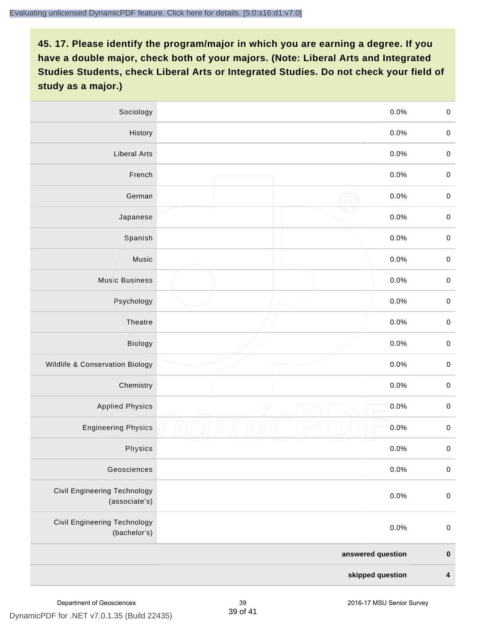| Sociology                                            | 0.0%               | $\mathbf 0$ |
|------------------------------------------------------|--------------------|-------------|
| History                                              | 0.0%               | $\mathbf 0$ |
| <b>Liberal Arts</b>                                  | 0.0%               | $\mathbf 0$ |
| French                                               | 0.0%               | $\mathbf 0$ |
| German                                               | 0.0%               | $\mathbf 0$ |
| Japanese                                             | 0.0%               | $\pmb{0}$   |
| Spanish                                              | 0.0%               | $\mathbf 0$ |
| Music                                                | 0.0%               | $\mathbf 0$ |
| <b>Music Business</b>                                | 0.0%               | $\pmb{0}$   |
| Psychology                                           | 0.0%               | $\mathbf 0$ |
| Theatre                                              | 0.0%               | $\mathbf 0$ |
| <b>Biology</b>                                       | 0.0%               | $\mathbf 0$ |
| Wildlife & Conservation Biology                      | 0.0%               | $\pmb{0}$   |
| Chemistry                                            | 0.0%               | $\mathbf 0$ |
| <b>Applied Physics</b>                               | $\bigcirc$<br>0.0% | $\mathbf 0$ |
| <b>Engineering Physics</b>                           | 0.0%               | $\mathbf 0$ |
| Physics                                              | 0.0%               | $\mathbf 0$ |
| Geosciences                                          | 0.0%               | $\mathbf 0$ |
| <b>Civil Engineering Technology</b><br>(associate's) | 0.0%               | $\pmb{0}$   |
| Civil Engineering Technology<br>(bachelor's)         | 0.0%               | $\pmb{0}$   |
|                                                      | answered question  | $\mathbf 0$ |
|                                                      | skipped question   | 4           |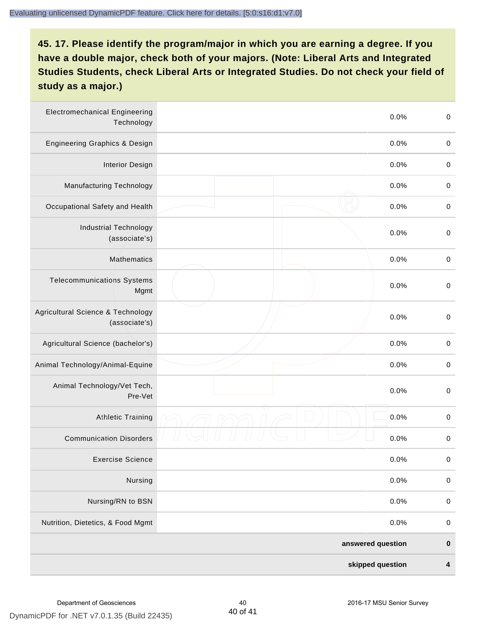| <b>Electromechanical Engineering</b><br>Technology | 0.0%              | $\boldsymbol{0}$ |
|----------------------------------------------------|-------------------|------------------|
| Engineering Graphics & Design                      | 0.0%              | $\pmb{0}$        |
| <b>Interior Design</b>                             | 0.0%              | $\boldsymbol{0}$ |
| Manufacturing Technology                           | 0.0%              | $\,0\,$          |
| Occupational Safety and Health                     | 0.0%              | $\boldsymbol{0}$ |
| <b>Industrial Technology</b><br>(associate's)      | 0.0%              | $\,0\,$          |
| Mathematics                                        | 0.0%              | $\pmb{0}$        |
| <b>Telecommunications Systems</b><br>Mgmt          | 0.0%              | $\boldsymbol{0}$ |
| Agricultural Science & Technology<br>(associate's) | 0.0%              | $\boldsymbol{0}$ |
| Agricultural Science (bachelor's)                  | 0.0%              | $\boldsymbol{0}$ |
| Animal Technology/Animal-Equine                    | 0.0%              | $\boldsymbol{0}$ |
| Animal Technology/Vet Tech,<br>Pre-Vet             | 0.0%              | $\boldsymbol{0}$ |
| <b>Athletic Training</b>                           | 0.0%              | $\boldsymbol{0}$ |
| <b>Communication Disorders</b>                     | 0.0%              | $\boldsymbol{0}$ |
| <b>Exercise Science</b>                            | 0.0%              | $\pmb{0}$        |
| Nursing                                            | 0.0%              | $\pmb{0}$        |
| Nursing/RN to BSN                                  | 0.0%              | $\boldsymbol{0}$ |
| Nutrition, Dietetics, & Food Mgmt                  | 0.0%              | $\boldsymbol{0}$ |
|                                                    | answered question | $\pmb{0}$        |
|                                                    | skipped question  | 4                |